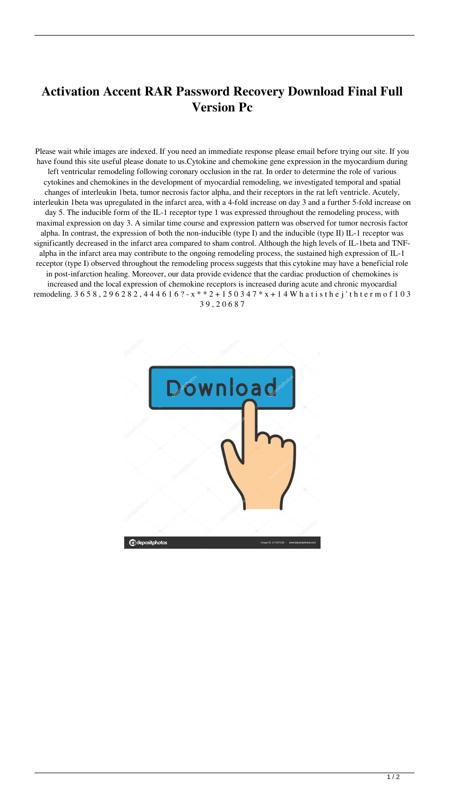## **Activation Accent RAR Password Recovery Download Final Full Version Pc**

Please wait while images are indexed. If you need an immediate response please email before trying our site. If you have found this site useful please donate to us.Cytokine and chemokine gene expression in the myocardium during left ventricular remodeling following coronary occlusion in the rat. In order to determine the role of various cytokines and chemokines in the development of myocardial remodeling, we investigated temporal and spatial changes of interleukin 1beta, tumor necrosis factor alpha, and their receptors in the rat left ventricle. Acutely, interleukin 1beta was upregulated in the infarct area, with a 4-fold increase on day 3 and a further 5-fold increase on day 5. The inducible form of the IL-1 receptor type 1 was expressed throughout the remodeling process, with maximal expression on day 3. A similar time course and expression pattern was observed for tumor necrosis factor alpha. In contrast, the expression of both the non-inducible (type I) and the inducible (type II) IL-1 receptor was significantly decreased in the infarct area compared to sham control. Although the high levels of IL-1beta and TNFalpha in the infarct area may contribute to the ongoing remodeling process, the sustained high expression of IL-1 receptor (type I) observed throughout the remodeling process suggests that this cytokine may have a beneficial role in post-infarction healing. Moreover, our data provide evidence that the cardiac production of chemokines is increased and the local expression of chemokine receptors is increased during acute and chronic myocardial remodeling. 3 6 5 8 , 2 9 6 2 8 2 , 4 4 4 6 1 6 ? - x \* \* 2 + 1 5 0 3 4 7 \* x + 1 4 W h a t i s t h e j't h t e r m o f 1 0 3 3 9 , 2 0 6 8 7

ownload